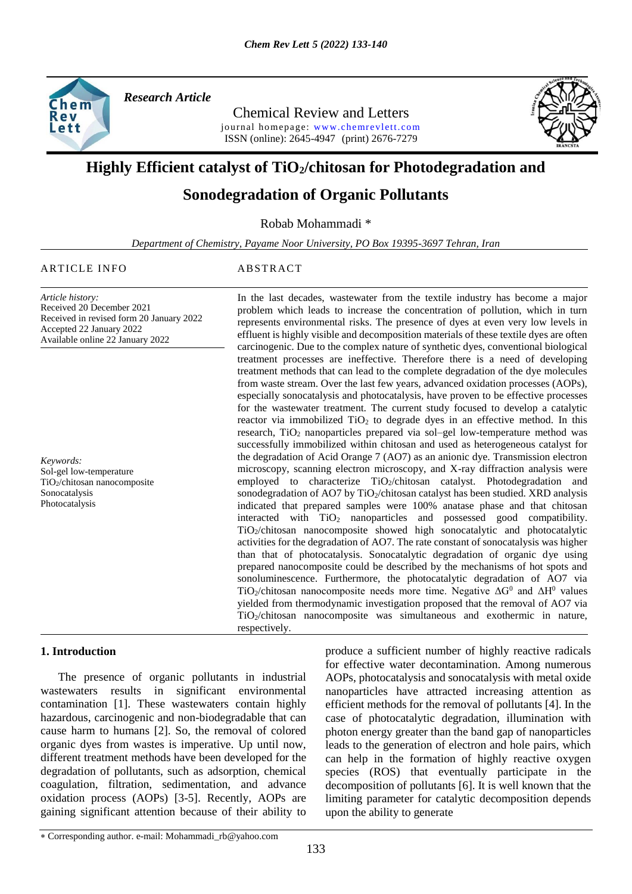

*Research Article* 

Chemical Review and Letters journal homepage: www.chemrevlett.com ISSN (online): 2645-4947(print) 2676-7279



# **Highly Efficient catalyst of TiO2/chitosan for Photodegradation and**

# **Sonodegradation of Organic Pollutants**

Robab Mohammadi \*

*Department of Chemistry, Payame Noor University, PO Box 19395-3697 Tehran, Iran*

## ARTICLE INFO ABSTRACT

*Article history:* Received 20 December 2021 Received in revised form 20 January 2022 Accepted 22 January 2022 Available online 22 January 2022

*Keywords:* Sol-gel low-temperature TiO2/chitosan nanocomposite Sonocatalysis Photocatalysis

In the last decades, wastewater from the textile industry has become a major problem which leads to increase the concentration of pollution, which in turn represents environmental risks. The presence of dyes at even very low levels in effluent is highly visible and decomposition materials of these textile dyes are often carcinogenic. Due to the complex nature of synthetic dyes, conventional biological treatment processes are ineffective. Therefore there is a need of developing treatment methods that can lead to the complete degradation of the dye molecules from waste stream. Over the last few years, advanced oxidation processes (AOPs), especially sonocatalysis and photocatalysis, have proven to be effective processes for the wastewater treatment. The current study focused to develop a catalytic reactor via immobilized  $TiO<sub>2</sub>$  to degrade dyes in an effective method. In this research,  $TiO<sub>2</sub>$  nanoparticles prepared via sol–gel low-temperature method was successfully immobilized within chitosan and used as heterogeneous catalyst for the degradation of Acid Orange 7 (AO7) as an anionic dye. Transmission electron microscopy, scanning electron microscopy, and X-ray diffraction analysis were employed to characterize TiO<sub>2</sub>/chitosan catalyst. Photodegradation and sonodegradation of AO7 by TiO<sub>2</sub>/chitosan catalyst has been studied. XRD analysis indicated that prepared samples were 100% anatase phase and that chitosan interacted with TiO<sub>2</sub> nanoparticles and possessed good compatibility. TiO<sub>2</sub>/chitosan nanocomposite showed high sonocatalytic and photocatalytic activities for the degradation of AO7. The rate constant of sonocatalysis was higher than that of photocatalysis. Sonocatalytic degradation of organic dye using prepared nanocomposite could be described by the mechanisms of hot spots and sonoluminescence. Furthermore, the photocatalytic degradation of AO7 via TiO<sub>2</sub>/chitosan nanocomposite needs more time. Negative  $\Delta G^0$  and  $\Delta H^0$  values yielded from thermodynamic investigation proposed that the removal of AO7 via TiO2/chitosan nanocomposite was simultaneous and exothermic in nature, respectively.

# **1. Introduction**

 The presence of organic pollutants in industrial wastewaters results in significant environmental contamination [1]. These wastewaters contain highly hazardous, carcinogenic and non-biodegradable that can cause harm to humans [2]. So, the removal of colored organic dyes from wastes is imperative. Up until now, different treatment methods have been developed for the degradation of pollutants, such as adsorption, chemical coagulation, filtration, sedimentation, and advance oxidation process (AOPs) [3-5]. Recently, AOPs are gaining significant attention because of their ability to

produce a sufficient number of highly reactive radicals for effective water decontamination. Among numerous AOPs, photocatalysis and sonocatalysis with metal oxide nanoparticles have attracted increasing attention as efficient methods for the removal of pollutants [4]. In the case of photocatalytic degradation, illumination with photon energy greater than the band gap of nanoparticles leads to the generation of electron and hole pairs, which can help in the formation of highly reactive oxygen species (ROS) that eventually participate in the decomposition of pollutants [6]. It is well known that the limiting parameter for catalytic decomposition depends upon the ability to generate

Corresponding author. e-mail: Mohammadi\_rb@yahoo.com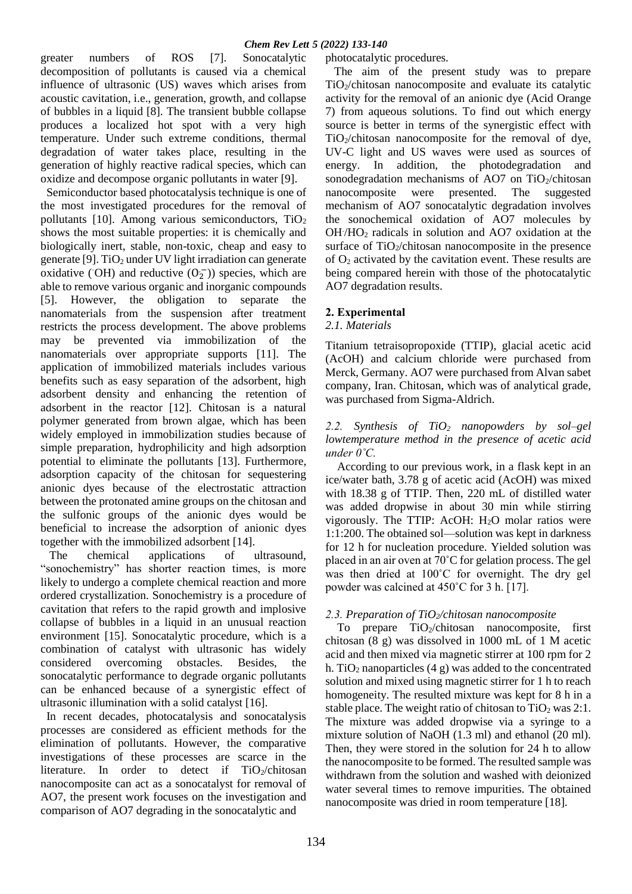greater numbers of ROS [7]. Sonocatalytic decomposition of pollutants is caused via a chemical influence of ultrasonic (US) waves which arises from acoustic cavitation, i.e., generation, growth, and collapse of bubbles in a liquid [8]. The transient bubble collapse produces a localized hot spot with a very high temperature. Under such extreme conditions, thermal degradation of water takes place, resulting in the generation of highly reactive radical species, which can oxidize and decompose organic pollutants in water [9].

 Semiconductor based photocatalysis technique is one of the most investigated procedures for the removal of pollutants  $[10]$ . Among various semiconductors,  $TiO<sub>2</sub>$ shows the most suitable properties: it is chemically and biologically inert, stable, non-toxic, cheap and easy to generate [9].  $TiO<sub>2</sub>$  under UV light irradiation can generate oxidative (OH) and reductive  $(0_2^-)$ ) species, which are able to remove various organic and inorganic compounds [5]. However, the obligation to separate the nanomaterials from the suspension after treatment restricts the process development. The above problems may be prevented via immobilization of the nanomaterials over appropriate supports [11]. The application of immobilized materials includes various benefits such as easy separation of the adsorbent, high adsorbent density and enhancing the retention of adsorbent in the reactor [12]. Chitosan is a natural polymer generated from brown algae, which has been widely employed in immobilization studies because of simple preparation, hydrophilicity and high adsorption potential to eliminate the pollutants [13]. Furthermore, adsorption capacity of the chitosan for sequestering anionic dyes because of the electrostatic attraction between the protonated amine groups on the chitosan and the sulfonic groups of the anionic dyes would be beneficial to increase the adsorption of anionic dyes together with the immobilized adsorbent [14].

 The chemical applications of ultrasound, "sonochemistry" has shorter reaction times, is more likely to undergo a complete chemical reaction and more ordered crystallization. Sonochemistry is a procedure of cavitation that refers to the rapid growth and implosive collapse of bubbles in a liquid in an unusual reaction environment [15]. Sonocatalytic procedure, which is a combination of catalyst with ultrasonic has widely considered overcoming obstacles. Besides, the sonocatalytic performance to degrade organic pollutants can be enhanced because of a synergistic effect of ultrasonic illumination with a solid catalyst [16].

 In recent decades, photocatalysis and sonocatalysis processes are considered as efficient methods for the elimination of pollutants. However, the comparative investigations of these processes are scarce in the literature. In order to detect if  $TiO<sub>2</sub>/chiosan$ nanocomposite can act as a sonocatalyst for removal of AO7, the present work focuses on the investigation and comparison of AO7 degrading in the sonocatalytic and

photocatalytic procedures.

 The aim of the present study was to prepare TiO2/chitosan nanocomposite and evaluate its catalytic activity for the removal of an anionic dye (Acid Orange 7) from aqueous solutions. To find out which energy source is better in terms of the synergistic effect with  $TiO<sub>2</sub>/chiosan nanocomposite$  for the removal of dye, UV-C light and US waves were used as sources of energy. In addition, the photodegradation and sonodegradation mechanisms of AO7 on  $TiO<sub>2</sub>/chiosan$ nanocomposite were presented. The suggested mechanism of AO7 sonocatalytic degradation involves the sonochemical oxidation of AO7 molecules by OH. /HO<sup>2</sup> radicals in solution and AO7 oxidation at the surface of  $TiO<sub>2</sub>/chitosan nanocomposite in the presence$ of O<sup>2</sup> activated by the cavitation event. These results are being compared herein with those of the photocatalytic AO7 degradation results.

# **2. Experimental**

# *2.1. Materials*

Titanium tetraisopropoxide (TTIP), glacial acetic acid (AcOH) and calcium chloride were purchased from Merck, Germany. AO7 were purchased from Alvan sabet company, Iran. Chitosan, which was of analytical grade, was purchased from Sigma-Aldrich.

# *2.2. Synthesis of TiO<sup>2</sup> nanopowders by sol–gel lowtemperature method in the presence of acetic acid under 0˚C.*

 According to our previous work, in a flask kept in an ice/water bath, 3.78 g of acetic acid (AcOH) was mixed with 18.38 g of TTIP. Then, 220 mL of distilled water was added dropwise in about 30 min while stirring vigorously. The TTIP: AcOH: H2O molar ratios were 1:1:200. The obtained sol—solution was kept in darkness for 12 h for nucleation procedure. Yielded solution was placed in an air oven at 70˚C for gelation process. The gel was then dried at 100˚C for overnight. The dry gel powder was calcined at 450˚C for 3 h. [17].

# *2.3. Preparation of TiO2/chitosan nanocomposite*

To prepare TiO<sub>2</sub>/chitosan nanocomposite, first chitosan (8 g) was dissolved in 1000 mL of 1 M acetic acid and then mixed via magnetic stirrer at 100 rpm for 2 h. TiO<sub>2</sub> nanoparticles  $(4 \text{ g})$  was added to the concentrated solution and mixed using magnetic stirrer for 1 h to reach homogeneity. The resulted mixture was kept for 8 h in a stable place. The weight ratio of chitosan to  $TiO<sub>2</sub>$  was 2:1. The mixture was added dropwise via a syringe to a mixture solution of NaOH (1.3 ml) and ethanol (20 ml). Then, they were stored in the solution for 24 h to allow the nanocomposite to be formed. The resulted sample was withdrawn from the solution and washed with deionized water several times to remove impurities. The obtained nanocomposite was dried in room temperature [18].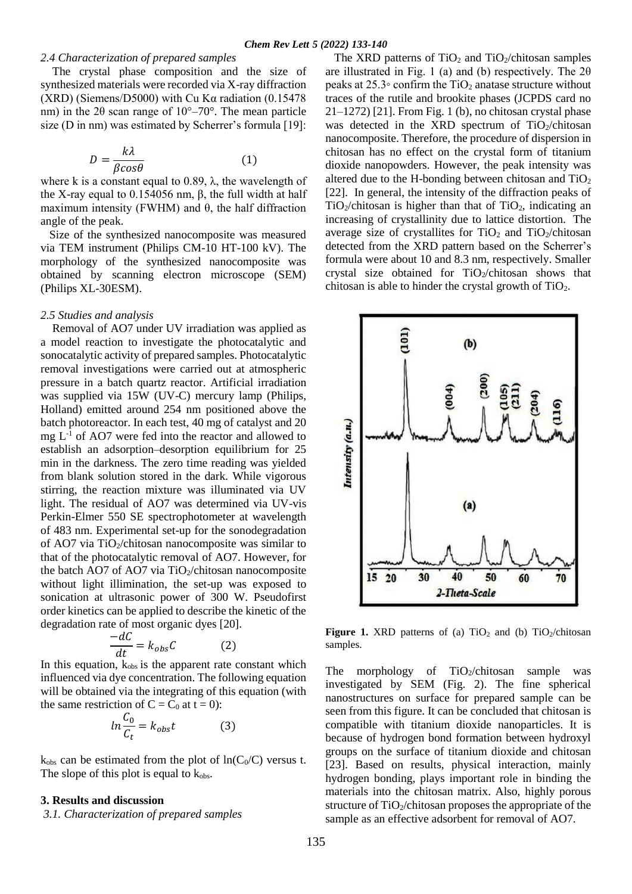#### *2.4 Characterization of prepared samples*

 The crystal phase composition and the size of synthesized materials were recorded via X-ray diffraction (XRD) (Siemens/D5000) with Cu Kα radiation (0.15478 nm) in the 2θ scan range of 10°–70°. The mean particle size (D in nm) was estimated by Scherrer's formula [19]:

$$
D = \frac{k\lambda}{\beta cos \theta} \tag{1}
$$

where k is a constant equal to 0.89,  $\lambda$ , the wavelength of the X-ray equal to  $0.154056$  nm,  $β$ , the full width at half maximum intensity (FWHM) and  $\theta$ , the half diffraction angle of the peak.

 Size of the synthesized nanocomposite was measured via TEM instrument (Philips CM-10 HT-100 kV). The morphology of the synthesized nanocomposite was obtained by scanning electron microscope (SEM) (Philips XL-30ESM).

#### *2.5 Studies and analysis*

 Removal of AO7 under UV irradiation was applied as a model reaction to investigate the photocatalytic and sonocatalytic activity of prepared samples. Photocatalytic removal investigations were carried out at atmospheric pressure in a batch quartz reactor. Artificial irradiation was supplied via 15W (UV-C) mercury lamp (Philips, Holland) emitted around 254 nm positioned above the batch photoreactor. In each test, 40 mg of catalyst and 20 mg  $L^{-1}$  of AO7 were fed into the reactor and allowed to establish an adsorption–desorption equilibrium for 25 min in the darkness. The zero time reading was yielded from blank solution stored in the dark. While vigorous stirring, the reaction mixture was illuminated via UV light. The residual of AO7 was determined via UV-vis Perkin-Elmer 550 SE spectrophotometer at wavelength of 483 nm. Experimental set-up for the sonodegradation of AO7 via TiO<sub>2</sub>/chitosan nanocomposite was similar to that of the photocatalytic removal of AO7. However, for the batch AO7 of AO7 via TiO $_2$ /chitosan nanocomposite without light illimination, the set-up was exposed to sonication at ultrasonic power of 300 W. Pseudofirst order kinetics can be applied to describe the kinetic of the degradation rate of most organic dyes [20].

$$
\frac{-dC}{dt} = k_{obs}C \tag{2}
$$

In this equation,  $k_{obs}$  is the apparent rate constant which influenced via dye concentration. The following equation will be obtained via the integrating of this equation (with the same restriction of  $C = C_0$  at  $t = 0$ :

$$
ln \frac{C_0}{C_t} = k_{obs}t
$$
 (3)

 $k_{obs}$  can be estimated from the plot of  $ln(C_0/C)$  versus t. The slope of this plot is equal to  $k_{obs}$ .

#### **3. Results and discussion**

*3.1. Characterization of prepared samples*

The XRD patterns of  $TiO<sub>2</sub>$  and  $TiO<sub>2</sub>/chiosan$  samples are illustrated in Fig. 1 (a) and (b) respectively. The  $2\theta$ peaks at  $25.3°$  confirm the TiO<sub>2</sub> anatase structure without traces of the rutile and brookite phases (JCPDS card no 21–1272) [21]. From Fig. 1 (b), no chitosan crystal phase was detected in the XRD spectrum of  $TiO<sub>2</sub>/chiosan$ nanocomposite. Therefore, the procedure of dispersion in chitosan has no effect on the crystal form of titanium dioxide nanopowders. However, the peak intensity was altered due to the H-bonding between chitosan and  $TiO<sub>2</sub>$ [22]. In general, the intensity of the diffraction peaks of  $TiO<sub>2</sub>/chiosan$  is higher than that of  $TiO<sub>2</sub>$ , indicating an increasing of crystallinity due to lattice distortion. The average size of crystallites for  $TiO<sub>2</sub>$  and  $TiO<sub>2</sub>/chiosan$ detected from the XRD pattern based on the Scherrer's formula were about 10 and 8.3 nm, respectively. Smaller crystal size obtained for  $TiO<sub>2</sub>/chiosan$  shows that chitosan is able to hinder the crystal growth of  $TiO<sub>2</sub>$ .



**Figure 1.** XRD patterns of (a)  $TiO<sub>2</sub>$  and (b)  $TiO<sub>2</sub>/chiosan$ samples.

The morphology of  $TiO<sub>2</sub>/chiosan$  sample was investigated by SEM (Fig. 2). The fine spherical nanostructures on surface for prepared sample can be seen from this figure. It can be concluded that chitosan is compatible with titanium dioxide nanoparticles. It is because of hydrogen bond formation between hydroxyl groups on the surface of titanium dioxide and chitosan [23]. Based on results, physical interaction, mainly hydrogen bonding, plays important role in binding the materials into the chitosan matrix. Also, highly porous structure of  $TiO<sub>2</sub>/chiosan$  proposes the appropriate of the sample as an effective adsorbent for removal of AO7.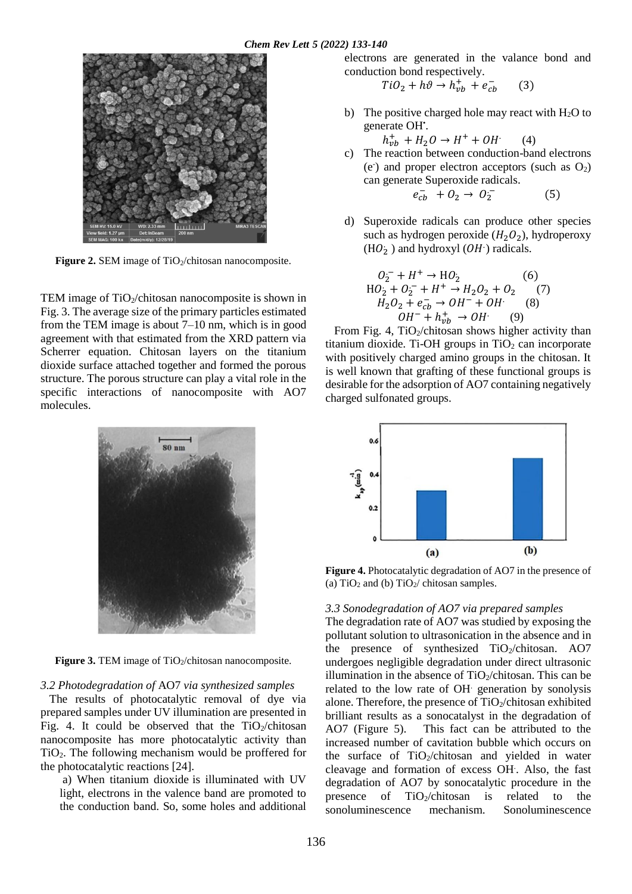

Figure 2. SEM image of TiO<sub>2</sub>/chitosan nanocomposite.

TEM image of  $TiO<sub>2</sub>/chiosan$  nanocomposite is shown in Fig. 3. The average size of the primary particles estimated from the TEM image is about 7–10 nm, which is in good agreement with that estimated from the XRD pattern via Scherrer equation. Chitosan layers on the titanium dioxide surface attached together and formed the porous structure. The porous structure can play a vital role in the specific interactions of nanocomposite with AO7 molecules.



**Figure 3.** TEM image of TiO<sub>2</sub>/chitosan nanocomposite.

#### *3.2 Photodegradation of* AO7 *via synthesized samples*

 The results of photocatalytic removal of dye via prepared samples under UV illumination are presented in Fig. 4. It could be observed that the  $TiO<sub>2</sub>/chiosan$ nanocomposite has more photocatalytic activity than TiO2. The following mechanism would be proffered for the photocatalytic reactions [24].

a) When titanium dioxide is illuminated with UV light, electrons in the valence band are promoted to the conduction band. So, some holes and additional electrons are generated in the valance bond and conduction bond respectively.

$$
TiO_2 + h\vartheta \to h_{vb}^+ + e_{cb}^- \qquad (3)
$$

b) The positive charged hole may react with  $H_2O$  to generate OH'.

 $h_{vb}^+ + H_2O \rightarrow H^+ + OH^-$ (4)

c) The reaction between conduction-band electrons  $(e<sup>o</sup>)$  and proper electron acceptors (such as  $O<sub>2</sub>$ ) can generate Superoxide radicals.

$$
e_{cb}^- + O_2 \to O_2^- \tag{5}
$$

d) Superoxide radicals can produce other species such as hydrogen peroxide  $(H_2O_2)$ , hydroperoxy (HO<sub>2</sub>) and hydroxyl (OH·) radicals.

$$
O_2^- + H^+ \to HO_2
$$
 (6)  
HO<sub>2</sub> + O<sub>2</sub><sup>-</sup> + H<sup>+</sup>  $\to$  H<sub>2</sub>O<sub>2</sub> + O<sub>2</sub> (7)  
H<sub>2</sub>O<sub>2</sub> + e<sub>cb</sub><sup>-</sup>  $\to$  OH<sup>-</sup> + OH<sup>-</sup> (8)  
OH<sup>-</sup> + h<sub>vb</sub><sup>+</sup>  $\to$  OH<sup>-</sup> (9)

From Fig. 4, TiO2/chitosan shows higher activity than titanium dioxide. Ti-OH groups in  $TiO<sub>2</sub>$  can incorporate with positively charged amino groups in the chitosan. It is well known that grafting of these functional groups is desirable for the adsorption of AO7 containing negatively charged sulfonated groups.



**Figure 4.** Photocatalytic degradation of AO7 in the presence of (a)  $TiO<sub>2</sub>$  and (b)  $TiO<sub>2</sub>$  chitosan samples.

#### *3.3 Sonodegradation of AO7 via prepared samples*

The degradation rate of AO7 was studied by exposing the pollutant solution to ultrasonication in the absence and in the presence of synthesized  $TiO<sub>2</sub>/chiosan$ . AO7 undergoes negligible degradation under direct ultrasonic illumination in the absence of  $TiO<sub>2</sub>/chiosan$ . This can be related to the low rate of OH. generation by sonolysis alone. Therefore, the presence of  $TiO<sub>2</sub>/chiosan$  exhibited brilliant results as a sonocatalyst in the degradation of AO7 (Figure 5). This fact can be attributed to the increased number of cavitation bubble which occurs on the surface of  $TiO<sub>2</sub>/chiosan$  and yielded in water cleavage and formation of excess OH. . Also, the fast degradation of AO7 by sonocatalytic procedure in the presence of  $TiO<sub>2</sub>/chiosan$  is related to the sonoluminescence mechanism. Sonoluminescence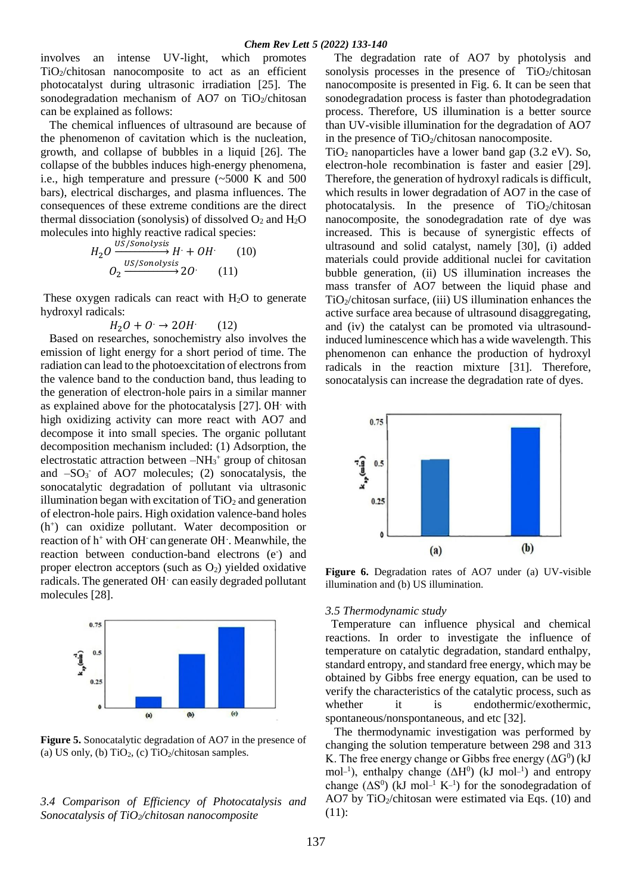involves an intense UV-light, which promotes TiO2/chitosan nanocomposite to act as an efficient photocatalyst during ultrasonic irradiation [25]. The sonodegradation mechanism of AO7 on TiO<sub>2</sub>/chitosan can be explained as follows:

 The chemical influences of ultrasound are because of the phenomenon of cavitation which is the nucleation, growth, and collapse of bubbles in a liquid [26]. The collapse of the bubbles induces high-energy phenomena, i.e., high temperature and pressure (~5000 K and 500 bars), electrical discharges, and plasma influences. The consequences of these extreme conditions are the direct thermal dissociation (sonolysis) of dissolved  $O_2$  and  $H_2O$ molecules into highly reactive radical species:

$$
H_2O \xrightarrow{US/Sonolysis} H + OH \qquad (10)
$$
  

$$
O_2 \xrightarrow{US/Sonolysis} 2O \qquad (11)
$$

These oxygen radicals can react with  $H_2O$  to generate hydroxyl radicals:

$$
H_2O+O\rightarrow 2OH \qquad (12)
$$

 Based on researches, sonochemistry also involves the emission of light energy for a short period of time. The radiation can lead to the photoexcitation of electrons from the valence band to the conduction band, thus leading to the generation of electron-hole pairs in a similar manner as explained above for the photocatalysis [27]. OH. with high oxidizing activity can more react with AO7 and decompose it into small species. The organic pollutant decomposition mechanism included: (1) Adsorption, the electrostatic attraction between -NH<sub>3</sub><sup>+</sup> group of chitosan and  $-SO<sub>3</sub>$  of AO7 molecules; (2) sonocatalysis, the sonocatalytic degradation of pollutant via ultrasonic illumination began with excitation of  $TiO<sub>2</sub>$  and generation of electron-hole pairs. High oxidation valence-band holes (h<sup>+</sup> ) can oxidize pollutant. Water decomposition or reaction of h<sup>+</sup> with OH<sup>-</sup> can generate OH . Meanwhile, the reaction between conduction-band electrons (e) and proper electron acceptors (such as  $O_2$ ) yielded oxidative radicals. The generated OH can easily degraded pollutant molecules [28].



**Figure 5.** Sonocatalytic degradation of AO7 in the presence of (a) US only, (b)  $TiO<sub>2</sub>$ , (c)  $TiO<sub>2</sub>/chiosan samples$ .

# *3.4 Comparison of Efficiency of Photocatalysis and Sonocatalysis of TiO2/chitosan nanocomposite*

 The degradation rate of AO7 by photolysis and sonolysis processes in the presence of  $TiO<sub>2</sub>/chiosan$ nanocomposite is presented in Fig. 6. It can be seen that sonodegradation process is faster than photodegradation process. Therefore, US illumination is a better source than UV-visible illumination for the degradation of AO7 in the presence of  $TiO<sub>2</sub>/chiosan$  nanocomposite.

 $TiO<sub>2</sub>$  nanoparticles have a lower band gap (3.2 eV). So, electron-hole recombination is faster and easier [29]. Therefore, the generation of hydroxyl radicals is difficult, which results in lower degradation of AO7 in the case of photocatalysis. In the presence of  $TiO<sub>2</sub>/chiosan$ nanocomposite, the sonodegradation rate of dye was increased. This is because of synergistic effects of ultrasound and solid catalyst, namely [30], (i) added materials could provide additional nuclei for cavitation bubble generation, (ii) US illumination increases the mass transfer of AO7 between the liquid phase and TiO2/chitosan surface, (iii) US illumination enhances the active surface area because of ultrasound disaggregating, and (iv) the catalyst can be promoted via ultrasoundinduced luminescence which has a wide wavelength. This phenomenon can enhance the production of hydroxyl radicals in the reaction mixture [31]. Therefore, sonocatalysis can increase the degradation rate of dyes.



**Figure 6.** Degradation rates of AO7 under (a) UV-visible illumination and (b) US illumination.

### *3.5 Thermodynamic study*

 Temperature can influence physical and chemical reactions. In order to investigate the influence of temperature on catalytic degradation, standard enthalpy, standard entropy, and standard free energy, which may be obtained by Gibbs free energy equation, can be used to verify the characteristics of the catalytic process, such as whether it is endothermic/exothermic, spontaneous/nonspontaneous, and etc [32].

 The thermodynamic investigation was performed by changing the solution temperature between 298 and 313 K. The free energy change or Gibbs free energy  $(\Delta G^0)$  (kJ mol<sup>-1</sup>), enthalpy change  $(\Delta H^0)$  (kJ mol<sup>-1</sup>) and entropy change  $(\Delta S^0)$  (kJ mol<sup>-1</sup> K<sup>-1</sup>) for the sonodegradation of AO7 by TiO<sub>2</sub>/chitosan were estimated via Eqs.  $(10)$  and (11):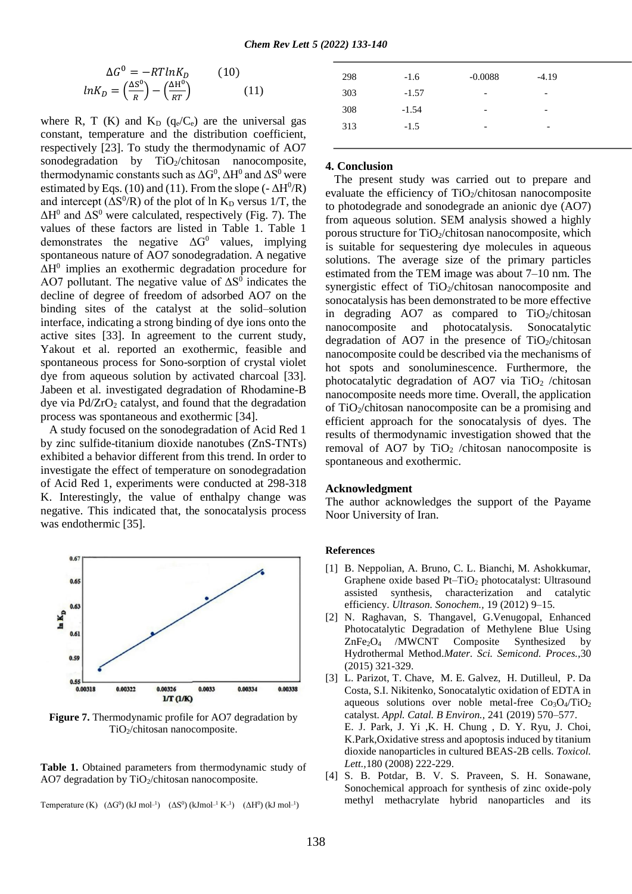$$
\Delta G^0 = -RTlnK_D \qquad (10)
$$

$$
lnK_D = \left(\frac{\Delta S^0}{R}\right) - \left(\frac{\Delta H^0}{RT}\right) \qquad (11)
$$

where R, T (K) and  $K_D$  ( $q_e/C_e$ ) are the universal gas constant, temperature and the distribution coefficient, respectively [23]. To study the thermodynamic of AO7 sonodegradation by TiO2/chitosan nanocomposite, thermodynamic constants such as  $\Delta G^0$ ,  $\Delta H^0$  and  $\Delta S^0$  were estimated by Eqs. (10) and (11). From the slope  $(-\Delta H^0/R)$ and intercept  $(\Delta S^0/R)$  of the plot of ln K<sub>D</sub> versus 1/T, the  $\Delta H^0$  and  $\Delta S^0$  were calculated, respectively (Fig. 7). The values of these factors are listed in Table 1. Table 1 demonstrates the negative  $\Delta G^0$  values, implying spontaneous nature of AO7 sonodegradation. A negative  $\Delta H^0$  implies an exothermic degradation procedure for AO7 pollutant. The negative value of  $\Delta S^0$  indicates the decline of degree of freedom of adsorbed AO7 on the binding sites of the catalyst at the solid–solution interface, indicating a strong binding of dye ions onto the active sites [33]. In agreement to the current study, Yakout et al. reported an exothermic, feasible and spontaneous process for Sono-sorption of crystal violet dye from aqueous solution by activated charcoal [33]. Jabeen et al. investigated degradation of Rhodamine-B dye via  $Pd/ZrO<sub>2</sub>$  catalyst, and found that the degradation process was spontaneous and exothermic [34].

 A study focused on the sonodegradation of Acid Red 1 by zinc sulfide-titanium dioxide nanotubes (ZnS-TNTs) exhibited a behavior different from this trend. In order to investigate the effect of temperature on sonodegradation of Acid Red 1, experiments were conducted at 298-318 K. Interestingly, the value of enthalpy change was negative. This indicated that, the sonocatalysis process was endothermic [35].



**Figure 7.** Thermodynamic profile for AO7 degradation by TiO2/chitosan nanocomposite.

Table 1. Obtained parameters from thermodynamic study of AO7 degradation by  $TiO<sub>2</sub>/chiosan nanocomposite$ .

Temperature (K)  $(\Delta G^0)$  (kJ mol<sup>-1</sup>)  $(\Delta S^0)$  (kJmol<sup>-1</sup> K<sup>-1</sup>)  $(\Delta H^0)$  (kJ mol<sup>-1</sup>)

| 298 | $-1.6$  | $-0.0088$                | $-4.19$                  |
|-----|---------|--------------------------|--------------------------|
| 303 | $-1.57$ | $\overline{\phantom{0}}$ | -                        |
| 308 | $-1.54$ | $\overline{\phantom{0}}$ | $\overline{\phantom{0}}$ |
| 313 | $-1.5$  | $\overline{\phantom{0}}$ | -                        |
|     |         |                          |                          |

#### **4. Conclusion**

 The present study was carried out to prepare and evaluate the efficiency of  $TiO<sub>2</sub>/chiosan$  nanocomposite to photodegrade and sonodegrade an anionic dye (AO7) from aqueous solution. SEM analysis showed a highly porous structure for  $TiO<sub>2</sub>/chiosan nanocomposite$ , which is suitable for sequestering dye molecules in aqueous solutions. The average size of the primary particles estimated from the TEM image was about 7–10 nm. The synergistic effect of TiO<sub>2</sub>/chitosan nanocomposite and sonocatalysis has been demonstrated to be more effective in degrading AO7 as compared to  $TiO<sub>2</sub>/chiosan$ nanocomposite and photocatalysis. Sonocatalytic degradation of AO7 in the presence of  $TiO<sub>2</sub>/chiosan$ nanocomposite could be described via the mechanisms of hot spots and sonoluminescence. Furthermore, the photocatalytic degradation of AO7 via TiO<sub>2</sub> /chitosan nanocomposite needs more time. Overall, the application of  $TiO<sub>2</sub>/chiosan nanocomposite can be a promising and$ efficient approach for the sonocatalysis of dyes. The results of thermodynamic investigation showed that the removal of AO7 by TiO<sub>2</sub> /chitosan nanocomposite is spontaneous and exothermic.

#### **Acknowledgment**

The author acknowledges the support of the Payame Noor University of Iran.

#### **References**

- [1] B. Neppolian, A. Bruno, C. L. Bianchi, M. Ashokkumar, Graphene oxide based Pt–TiO<sub>2</sub> photocatalyst: Ultrasound assisted synthesis, characterization and catalytic efficiency. *Ultrason. Sonochem.,* 19 (2012) 9–15.
- [2] N. Raghavan, S. Thangavel, G.Venugopal, Enhanced Photocatalytic Degradation of Methylene Blue Using ZnFe<sub>2</sub>O<sub>4</sub> /MWCNT Composite Synthesized by Hydrothermal Method.*Mater. Sci. Semicond. Proces.,*30 (2015) 321-329.
- [3] L. Parizot, T. Chave, M. E. Galvez, H. Dutilleul, P. Da Costa, S.I. Nikitenko, Sonocatalytic oxidation of EDTA in aqueous solutions over noble metal-free  $Co<sub>3</sub>O<sub>4</sub>/TiO<sub>2</sub>$ catalyst. *Appl. Catal. B Environ.,* 241 (2019) 570–577. E. J. Park, J. Yi ,K. H. Chung , D. Y. Ryu, J. Choi, K.Park,Oxidative stress and apoptosis induced by titanium dioxide nanoparticles in cultured BEAS-2B cells. *Toxicol. Lett.,*180 (2008) 222-229.
- [4] S. B. Potdar, B. V. S. Praveen, S. H. Sonawane, Sonochemical approach for synthesis of zinc oxide-poly methyl methacrylate hybrid nanoparticles and its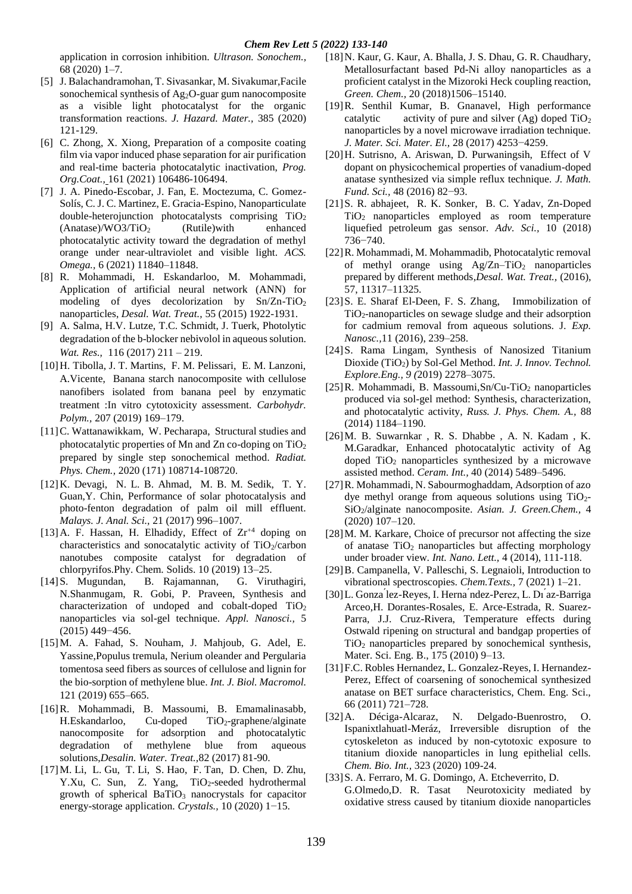application in corrosion inhibition. *Ultrason. Sonochem.,* 68 (2020) 1–7.

- [5] J. Balachandramohan, T. Sivasankar, M. Sivakumar,Facile sonochemical synthesis of Ag<sub>2</sub>O-guar gum nanocomposite as a visible light photocatalyst for the organic transformation reactions. *J. Hazard. Mater.,* 385 (2020) 121-129.
- [6] [C. Zhong, X. Xiong,](https://www.sciencedirect.com/science/article/pii/S030094402100357X#!) Preparation of a composite coating film via vapor induced phase separation for air purification and real-time bacteria photocatalytic inactivation, *[Prog.](https://www.sciencedirect.com/science/journal/03009440)  [Org.Coat.,](https://www.sciencedirect.com/science/journal/03009440)* [161 \(2021\)](https://www.sciencedirect.com/science/journal/03009440/161/supp/C) 106486-106494.
- [7] J. A. Pinedo-Escobar, J. Fan, E. Moctezuma, C. Gomez-Solís, C. J. C. Martinez, E. Gracia-Espino, Nanoparticulate double-heterojunction photocatalysts comprising  $TiO<sub>2</sub>$  $(Anatase)/WO3/TiO<sub>2</sub>$  (Rutile)with enhanced photocatalytic activity toward the degradation of methyl orange under near-ultraviolet and visible light. *ACS. Omega.,* 6 (2021) 11840–11848.
- [8] R. Mohammadi, H. Eskandarloo, M. Mohammadi, [Application of artificial neural network \(ANN\) for](https://scholar.google.com/citations?view_op=view_citation&hl=en&user=e5l5iLIAAAAJ&citation_for_view=e5l5iLIAAAAJ:ufrVoPGSRksC)  modeling of dyes decolorization by  $Sn/Zn-TiO<sub>2</sub>$ [nanoparticles,](https://scholar.google.com/citations?view_op=view_citation&hl=en&user=e5l5iLIAAAAJ&citation_for_view=e5l5iLIAAAAJ:ufrVoPGSRksC) *Desal. Wat. Treat.,* 55 (2015) 1922-1931.
- [9] A. Salma, H.V. Lutze, T.C. Schmidt, J. Tuerk, Photolytic degradation of the b-blocker nebivolol in aqueous solution. *Wat. Res.,* 116 (2017) 211 – 219.
- [10]H. Tibolla, J. T. Martins, F. M. Pelissari, E. M. Lanzoni, A.Vicente, Banana starch nanocomposite with cellulose nanofibers isolated from banana peel by enzymatic treatment :In vitro cytotoxicity assessment. *Carbohydr. Polym.,* 207 (2019) 169–179.
- [11] C. Wattanawikkam, W. Pecharapa, Structural studies and photocatalytic properties of Mn and Zn co-doping on TiO<sup>2</sup> prepared by single step sonochemical method. *Radiat. Phys. Chem.,* 2020 (171) 108714-108720.
- [12]K. Devagi, N. L. B. Ahmad, M. B. M. Sedik, T. Y. Guan,Y. Chin, Performance of solar photocatalysis and photo-fenton degradation of palm oil mill effluent. *Malays. J. Anal. Sci.,* 21 (2017) 996–1007.
- [13] A. F. Hassan, H. Elhadidy, Effect of  $Zr^{+4}$  doping on characteristics and sonocatalytic activity of  $TiO<sub>2</sub>/carbon$ nanotubes composite catalyst for degradation of chlorpyrifos.Phy. Chem. Solids. 10 (2019) 13–25.
- [14]S. Mugundan, B. Rajamannan, G. Viruthagiri, N.Shanmugam, R. Gobi, P. Praveen, Synthesis and characterization of undoped and cobalt-doped TiO<sup>2</sup> nanoparticles via sol-gel technique. *Appl. Nanosci.,* 5 (2015) 449−456.
- [15]M. A. Fahad, S. Nouham, J. Mahjoub, G. Adel, E. Yassine,Populus tremula, Nerium oleander and Pergularia tomentosa seed fibers as sources of cellulose and lignin for the bio-sorption of methylene blue. *Int. J. Biol. Macromol.* 121 (2019) 655–665.
- [16]R. Mohammadi, B. Massoumi, B. Emamalinasabb,  $H.Eskandarloo,$   $Cu-doped$   $TiO<sub>2</sub>-graphene/alginate$ [nanocomposite for adsorption and photocatalytic](https://scholar.google.com/citations?view_op=view_citation&hl=en&user=e5l5iLIAAAAJ&cstart=20&pagesize=80&citation_for_view=e5l5iLIAAAAJ:hqOjcs7Dif8C)  degradation of [methylene blue from aqueous](https://scholar.google.com/citations?view_op=view_citation&hl=en&user=e5l5iLIAAAAJ&cstart=20&pagesize=80&citation_for_view=e5l5iLIAAAAJ:hqOjcs7Dif8C)  [solutions,](https://scholar.google.com/citations?view_op=view_citation&hl=en&user=e5l5iLIAAAAJ&cstart=20&pagesize=80&citation_for_view=e5l5iLIAAAAJ:hqOjcs7Dif8C)*Desalin. Water. Treat.,*82 (2017) 81-90.
- [17]M. Li, L. Gu, T. Li, S. Hao, F. Tan, D. Chen, D. Zhu, Y.Xu, C. Sun, Z. Yang, TiO2-seeded hydrothermal growth of spherical  $BaTiO<sub>3</sub>$  nanocrystals for capacitor energy-storage application. *Crystals.,* 10 (2020) 1−15.
- [18]N. Kaur, G. Kaur, A. Bhalla, J. S. Dhau, G. R. Chaudhary, Metallosurfactant based Pd-Ni alloy nanoparticles as a proficient catalyst in the Mizoroki Heck coupling reaction, *Green. Chem.,* 20 (2018)1506–15140.
- [19]R. Senthil Kumar, B. Gnanavel, High performance catalytic activity of pure and silver  $(Ag)$  doped  $TiO<sub>2</sub>$ nanoparticles by a novel microwave irradiation technique. *J. Mater. Sci. Mater. El.,* 28 (2017) 4253−4259.
- [20]H. Sutrisno, A. Ariswan, D. Purwaningsih, Effect of V dopant on physicochemical properties of vanadium-doped anatase synthesized via simple reflux technique. *J. Math. Fund. Sci.,* 48 (2016) 82−93.
- [21]S. R. abhajeet, R. K. Sonker, B. C. Yadav, Zn-Doped TiO2 nanoparticles employed as room temperature liquefied petroleum gas sensor. *Adv. Sci.,* 10 (2018) 736−740.
- [22]R. Mohammadi, M. Mohammadib[, Photocatalytic removal](https://scholar.google.com/citations?view_op=view_citation&hl=en&user=e5l5iLIAAAAJ&citation_for_view=e5l5iLIAAAAJ:5nxA0vEk-isC)  of methyl orange using  $Ag/Zn-TiO<sub>2</sub>$  nanoparticles [prepared by different methods,](https://scholar.google.com/citations?view_op=view_citation&hl=en&user=e5l5iLIAAAAJ&citation_for_view=e5l5iLIAAAAJ:5nxA0vEk-isC)*Desal. Wat. Treat.,* (2016), 57, 11317–11325.
- [23]S. E. Sharaf El-Deen, F. S. Zhang, Immobilization of TiO2-nanoparticles on sewage sludge and their adsorption for cadmium removal from aqueous solutions. J. *Exp. Nanosc.,*11 (2016), 239–258.
- [24]S. Rama Lingam, Synthesis of Nanosized Titanium Dioxide (TiO2) by Sol-Gel Method. *Int. J. Innov. Technol. Explore.Eng., 9 (*2019) 2278–3075.
- [25] R. Mohammadi, B. Massoumi,  $Sn/Cu-TiO<sub>2</sub>$  nanoparticles [produced via sol-gel method: Synthesis, characterization,](https://scholar.google.com/citations?view_op=view_citation&hl=en&user=e5l5iLIAAAAJ&cstart=20&pagesize=80&citation_for_view=e5l5iLIAAAAJ:0EnyYjriUFMC)  [and photocatalytic activity,](https://scholar.google.com/citations?view_op=view_citation&hl=en&user=e5l5iLIAAAAJ&cstart=20&pagesize=80&citation_for_view=e5l5iLIAAAAJ:0EnyYjriUFMC) *Russ. J. Phys. Chem. A.,* 88 (2014) 1184–1190.
- [26]M. B. Suwarnkar , R. S. Dhabbe , A. N. Kadam , K. M.Garadkar, Enhanced photocatalytic activity of Ag doped  $TiO<sub>2</sub>$  nanoparticles synthesized by a microwave assisted method. *Ceram. Int.,* 40 (2014) 5489–5496.
- [27]R. Mohammadi, N. Sabourmoghaddam, Adsorption of azo dye methyl orange from aqueous solutions using  $TiO<sub>2</sub>$ -SiO2/alginate nanocomposite. *Asian. J. Green.Chem.,* 4 (2020) 107–120.
- [28] M. M. Karkare, Choice of precursor not affecting the size of anatase TiO<sub>2</sub> nanoparticles but affecting morphology under broader view. *Int. Nano. Lett.,* 4 (2014), 111-118.
- [29]B. Campanella, V. Palleschi, S. Legnaioli, Introduction to vibrational spectroscopies. *Chem.Texts.,* 7 (2021) 1–21.
- [30]L. Gonza ́lez-Reyes, I. Herna ́ndez-Perez, L. Dı ́az-Barriga Arceo,H. Dorantes-Rosales, E. Arce-Estrada, R. Suarez-Parra, J.J. Cruz-Rivera, Temperature effects during Ostwald ripening on structural and bandgap properties of  $TiO<sub>2</sub>$  nanoparticles prepared by sonochemical synthesis, Mater. Sci. Eng. B., 175 (2010) 9–13.
- [31]F.C. Robles Hernandez, L. Gonzalez-Reyes, I. Hernandez-Perez, Effect of coarsening of sonochemical synthesized anatase on BET surface characteristics, Chem. Eng. Sci., 66 (2011) 721–728.
- [32]A. Déciga-Alcaraz, N. Delgado-Buenrostro, O. Ispanixtlahuatl-Meráz, Irreversible disruption of the cytoskeleton as induced by non-cytotoxic exposure to titanium dioxide nanoparticles in lung epithelial cells. *Chem. Bio. Int.,* 323 (2020) 109-24.
- [33]S. A. Ferraro, M. G. Domingo, A. Etcheverrito, D. G.Olmedo,D. R. Tasat Neurotoxicity mediated by oxidative stress caused by titanium dioxide nanoparticles